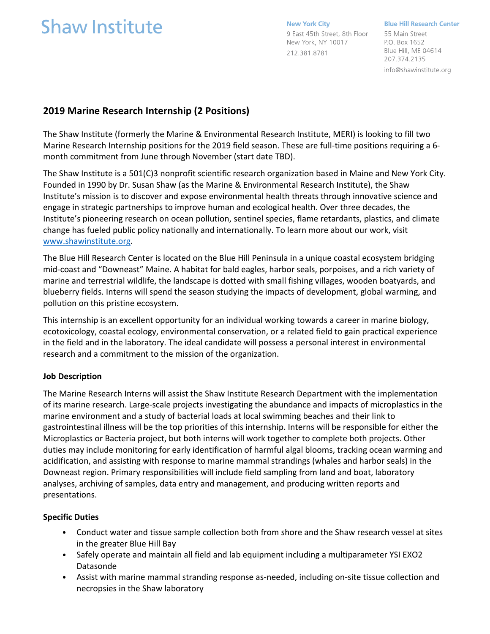# **Shaw Institute**

**New York City** 9 East 45th Street, 8th Floor New York, NY 10017 212.381.8781

**Blue Hill Research Center** 55 Main Street

P.O. Box 1652 Blue Hill, ME 04614 207.374.2135 info@shawinstitute.org

# **2019 Marine Research Internship (2 Positions)**

The Shaw Institute (formerly the Marine & Environmental Research Institute, MERI) is looking to fill two Marine Research Internship positions for the 2019 field season. These are full-time positions requiring a 6 month commitment from June through November (start date TBD).

The Shaw Institute is a 501(C)3 nonprofit scientific research organization based in Maine and New York City. Founded in 1990 by Dr. Susan Shaw (as the Marine & Environmental Research Institute), the Shaw Institute's mission is to discover and expose environmental health threats through innovative science and engage in strategic partnerships to improve human and ecological health. Over three decades, the Institute's pioneering research on ocean pollution, sentinel species, flame retardants, plastics, and climate change has fueled public policy nationally and internationally. To learn more about our work, visit www.shawinstitute.org.

The Blue Hill Research Center is located on the Blue Hill Peninsula in a unique coastal ecosystem bridging mid-coast and "Downeast" Maine. A habitat for bald eagles, harbor seals, porpoises, and a rich variety of marine and terrestrial wildlife, the landscape is dotted with small fishing villages, wooden boatyards, and blueberry fields. Interns will spend the season studying the impacts of development, global warming, and pollution on this pristine ecosystem.

This internship is an excellent opportunity for an individual working towards a career in marine biology, ecotoxicology, coastal ecology, environmental conservation, or a related field to gain practical experience in the field and in the laboratory. The ideal candidate will possess a personal interest in environmental research and a commitment to the mission of the organization.

# **Job Description**

The Marine Research Interns will assist the Shaw Institute Research Department with the implementation of its marine research. Large-scale projects investigating the abundance and impacts of microplastics in the marine environment and a study of bacterial loads at local swimming beaches and their link to gastrointestinal illness will be the top priorities of this internship. Interns will be responsible for either the Microplastics or Bacteria project, but both interns will work together to complete both projects. Other duties may include monitoring for early identification of harmful algal blooms, tracking ocean warming and acidification, and assisting with response to marine mammal strandings (whales and harbor seals) in the Downeast region. Primary responsibilities will include field sampling from land and boat, laboratory analyses, archiving of samples, data entry and management, and producing written reports and presentations.

## **Specific Duties**

- Conduct water and tissue sample collection both from shore and the Shaw research vessel at sites in the greater Blue Hill Bay
- Safely operate and maintain all field and lab equipment including a multiparameter YSI EXO2 Datasonde
- Assist with marine mammal stranding response as-needed, including on-site tissue collection and necropsies in the Shaw laboratory